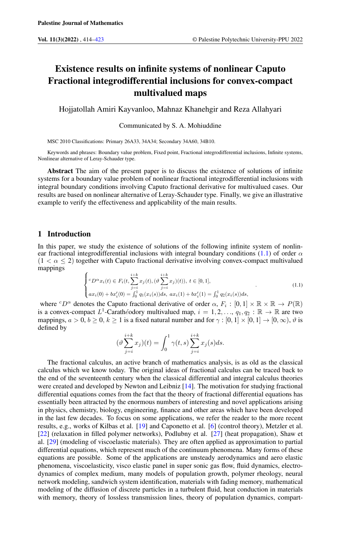# Existence results on infinite systems of nonlinear Caputo Fractional integrodifferential inclusions for convex-compact multivalued maps

Hojjatollah Amiri Kayvanloo, Mahnaz Khanehgir and Reza Allahyari

## Communicated by S. A. Mohiuddine

MSC 2010 Classifications: Primary 26A33, 34A34; Secondary 34A60, 34B10.

Keywords and phrases: Boundary value problem, Fixed point, Fractional integrodifferential inclusions, Infinite systems, Nonlinear alternative of Leray-Schauder type.

Abstract The aim of the present paper is to discuss the existence of solutions of infinite systems for a boundary value problem of nonlinear fractional integrodifferential inclusions with integral boundary conditions involving Caputo fractional derivative for multivalued cases. Our results are based on nonlinear alternative of Leray-Schauder type. Finally, we give an illustrative example to verify the effectiveness and applicability of the main results.

## 1 Introduction

In this paper, we study the existence of solutions of the following infinite system of nonlin-ear fractional integrodifferential inclusions with integral boundary conditions [\(1.1\)](#page-0-0) of order  $\alpha$  $(1 < \alpha \leq 2)$  together with Caputo fractional derivative involving convex-compact multivalued mappings

<span id="page-0-0"></span>
$$
\begin{cases}\nc_{D^{\alpha}x_{i}}(t) \in F_{i}(t, \sum_{j=i}^{i+k} x_{j}(t), (\vartheta \sum_{j=i}^{i+k} x_{j})(t)), \ t \in [0,1], \\
ax_{i}(0) + bx'_{i}(0) = \int_{0}^{1} q_{1}(x_{i}(s))ds, \ ax_{i}(1) + bx'_{i}(1) = \int_{0}^{1} q_{2}(x_{i}(s))ds,\n\end{cases} \tag{1.1}
$$

where  ${}^cD^{\alpha}$  denotes the Caputo fractional derivative of order  $\alpha$ ,  $F_i : [0,1] \times \mathbb{R} \times \mathbb{R} \to P(\mathbb{R})$ is a convex-compact L<sup>1</sup>-Carathéodory multivalued map,  $i = 1, 2, ..., q_1, q_2 : \mathbb{R} \to \mathbb{R}$  are two mappings,  $a > 0$ ,  $b \ge 0$ ,  $k \ge 1$  is a fixed natural number and for  $\gamma : [0, 1] \times [0, 1] \to [0, \infty)$ ,  $\vartheta$  is defined by

$$
(\vartheta \sum_{j=i}^{i+k} x_j)(t) = \int_0^1 \gamma(t,s) \sum_{j=i}^{i+k} x_j(s)ds.
$$

The fractional calculus, an active branch of mathematics analysis, is as old as the classical calculus which we know today. The original ideas of fractional calculus can be traced back to the end of the seventeenth century when the classical differential and integral calculus theories were created and developed by Newton and Leibniz [\[14\]](#page-8-1). The motivation for studying fractional differential equations comes from the fact that the theory of fractional differential equations has essentially been attracted by the enormous numbers of interesting and novel applications arising in physics, chemistry, biology, engineering, finance and other areas which have been developed in the last few decades. To focus on some applications, we refer the reader to the more recent results, e.g., works of Kilbas et al. [\[19\]](#page-8-2) and Caponetto et al. [\[6\]](#page-8-3) (control theory), Metzler et al. [\[22\]](#page-8-4) (relaxation in filled polymer networks), Podlubny et al. [\[27\]](#page-8-5) (heat propagation), Shaw et al. [\[29\]](#page-9-0) (modeling of viscoelastic materials). They are often applied as approximation to partial differential equations, which represent much of the continuum phenomena. Many forms of these equations are possible. Some of the applications are unsteady aerodynamics and aero elastic phenomena, viscoelasticity, visco elastic panel in super sonic gas flow, fluid dynamics, electrodynamics of complex medium, many models of population growth, polymer rheology, neural network modeling, sandwich system identification, materials with fading memory, mathematical modeling of the diffusion of discrete particles in a turbulent fluid, heat conduction in materials with memory, theory of lossless transmission lines, theory of population dynamics, compart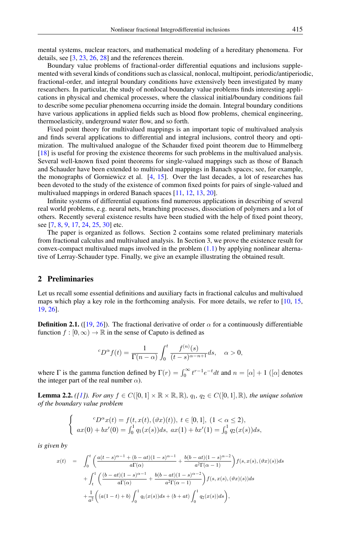mental systems, nuclear reactors, and mathematical modeling of a hereditary phenomena. For details, see [\[3,](#page-8-6) [23,](#page-8-7) [26,](#page-8-8) [28\]](#page-9-1) and the references therein.

Boundary value problems of fractional-order differential equations and inclusions supplemented with several kinds of conditions such as classical, nonlocal, multipoint, periodic/antiperiodic, fractional-order, and integral boundary conditions have extensively been investigated by many researchers. In particular, the study of nonlocal boundary value problems finds interesting applications in physical and chemical processes, where the classical initial/boundary conditions fail to describe some peculiar phenomena occurring inside the domain. Integral boundary conditions have various applications in applied fields such as blood flow problems, chemical engineering, thermoelasticity, underground water flow, and so forth.

Fixed point theory for multivalued mappings is an important topic of multivalued analysis and finds several applications to differential and integral inclusions, control theory and optimization. The multivalued analogue of the Schauder fixed point theorem due to Himmelberg [\[18\]](#page-8-9) is useful for proving the existence theorems for such problems in the multivalued analysis. Several well-known fixed point theorems for single-valued mappings such as those of Banach and Schauder have been extended to multivalued mappings in Banach spaces; see, for example, the monographs of Gorniewicz et al. [\[4,](#page-8-10) [15\]](#page-8-11). Over the last decades, a lot of researches has been devoted to the study of the existence of common fixed points for pairs of single-valued and multivalued mappings in ordered Banach spaces [\[11,](#page-8-12) [12,](#page-8-13) [13,](#page-8-14) [20\]](#page-8-15).

Infinite systems of differential equations find numerous applications in describing of several real world problems, e.g. neural nets, branching processes, dissociation of polymers and a lot of others. Recently several existence results have been studied with the help of fixed point theory, see [\[7,](#page-8-16) [8,](#page-8-17) [9,](#page-8-18) [17,](#page-8-19) [24,](#page-8-20) [25,](#page-8-21) [30\]](#page-9-2) etc.

The paper is organized as follows. Section 2 contains some related preliminary materials from fractional calculus and multivalued analysis. In Section 3, we prove the existence result for convex-compact multivalued maps involved in the problem  $(1.1)$  by applying nonlinear alternative of Lerray-Schauder type. Finally, we give an example illustrating the obtained result.

#### 2 Preliminaries

Let us recall some essential definitions and auxiliary facts in fractional calculus and multivalued maps which play a key role in the forthcoming analysis. For more details, we refer to [\[10,](#page-8-22) [15,](#page-8-11) [19,](#page-8-2) [26\]](#page-8-8).

**Definition 2.1.** ([\[19,](#page-8-2) [26\]](#page-8-8)). The fractional derivative of order  $\alpha$  for a continuously differentiable function  $f : [0, \infty) \to \mathbb{R}$  in the sense of Caputo is defined as

$$
{}^{c}D^{\alpha}f(t) = \frac{1}{\Gamma(n-\alpha)} \int_0^t \frac{f^{(n)}(s)}{(t-s)^{\alpha-n+1}} ds, \quad \alpha > 0,
$$

where  $\Gamma$  is the gamma function defined by  $\Gamma(r) = \int_0^\infty t^{r-1} e^{-t} dt$  and  $n = [\alpha] + 1$  ( $[\alpha]$  denotes the integer part of the real number  $\alpha$ ).

**Lemma 2.2.** *([\[1\]](#page-8-23)). For any*  $f \in C([0,1] \times \mathbb{R} \times \mathbb{R}, \mathbb{R})$ *,*  $q_1, q_2 \in C([0,1], \mathbb{R})$ *, the unique solution of the boundary value problem*

$$
\begin{cases}\nc_{D^{\alpha}x}(t) = f(t, x(t), (\vartheta x)(t)), \ t \in [0, 1], \ (1 < \alpha \le 2), \\
ax(0) + bx'(0) = \int_0^1 q_1(x(s))ds, \ ax(1) + bx'(1) = \int_0^1 q_2(x(s))ds,\n\end{cases}
$$

*is given by*

$$
x(t) = \int_0^t \left( \frac{a(t-s)^{\alpha-1} + (b-at)(1-s)^{\alpha-1}}{a\Gamma(\alpha)} + \frac{b(b-at)(1-s)^{\alpha-2}}{a^2\Gamma(\alpha-1)} \right) f(s, x(s), (\vartheta x)(s)) ds + \int_t^1 \left( \frac{(b-at)(1-s)^{\alpha-1}}{a\Gamma(\alpha)} + \frac{b(b-at)(1-s)^{\alpha-2}}{a^2\Gamma(\alpha-1)} \right) f(s, x(s), (\vartheta x)(s)) ds + \frac{1}{a^2} \left( (a(1-t)+b) \int_0^1 q_1(x(s)) ds + (b+at) \int_0^1 q_2(x(s)) ds \right),
$$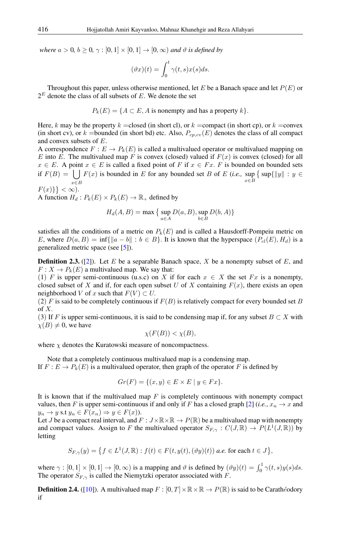*where*  $a > 0$ ,  $b \ge 0$ ,  $\gamma : [0, 1] \times [0, 1] \rightarrow [0, \infty)$  *and*  $\vartheta$  *is defined by* 

$$
(\vartheta x)(t) = \int_0^t \gamma(t,s)x(s)ds.
$$

Throughout this paper, unless otherwise mentioned, let E be a Banach space and let  $P(E)$  or  $2<sup>E</sup>$  denote the class of all subsets of E. We denote the set

$$
P_k(E) = \{ A \subset E, A \text{ is nonempty and has a property } k \}.
$$

Here, k may be the property k = closed (in short cl), or  $k$  = compact (in short cp), or  $k$  = convex (in short cv), or k =bounded (in short bd) etc. Also,  $P_{cp,cv}(E)$  denotes the class of all compact and convex subsets of E.

A correspondence  $F: E \to P_k(E)$  is called a multivalued operator or multivalued mapping on E into E. The multivalued map F is convex (closed) valued if  $F(x)$  is convex (closed) for all  $x \in E$ . A point  $x \in E$  is called a fixed point of F if  $x \in Fx$ . F is bounded on bounded sets if  $F(B) = \int F(x)$  is bounded in E for any bounded set B of E (*i.e.*, sup  $\{ \sup \{ \|y\| : y \in$ x∈B x∈B

 $F(x)\}\}<\infty).$ A function  $H_d: P_k(E) \times P_k(E) \to \mathbb{R}_+$  defined by

$$
H_d(A, B) = \max \left\{ \sup_{a \in A} D(a, B), \sup_{b \in B} D(b, A) \right\}
$$

satisfies all the conditions of a metric on  $P_k(E)$  and is called a Hausdorff-Pompeiu metric on E, where  $D(a, B) = \inf\{\|a - b\| : b \in B\}$ . It is known that the hyperspace  $(P_{cl}(E), H_d)$  is a generalized metric space (see [\[5\]](#page-8-24)).

**Definition 2.3.** ([\[2\]](#page-8-25)). Let E be a separable Banach space, X be a nonempty subset of E, and  $F: X \to P_k(E)$  a multivalued map. We say that:

(1) F is upper semi-continuous (u.s.c) on X if for each  $x \in X$  the set  $Fx$  is a nonempty, closed subset of X and if, for each open subset U of X containing  $F(x)$ , there exists an open neighborhood V of x such that  $F(V) \subset U$ .

(2) F is said to be completely continuous if  $F(B)$  is relatively compact for every bounded set B of  $X$ .

(3) If F is upper semi-continuous, it is said to be condensing map if, for any subset  $B \subset X$  with  $\chi(B) \neq 0$ , we have

$$
\chi(F(B)) < \chi(B),
$$

where  $\chi$  denotes the Kuratowski measure of noncompactness.

Note that a completely continuous multivalued map is a condensing map. If  $F: E \to P_k(E)$  is a multivalued operator, then graph of the operator F is defined by

$$
Gr(F) = \{(x, y) \in E \times E \mid y \in Fx\}.
$$

It is known that if the multivalued map  $F$  is completely continuous with nonempty compact values, then F is upper semi-continuous if and only if F has a closed graph [\[2\]](#page-8-25) (*i.e.*,  $x_n \to x$  and  $y_n \to y$  s.t  $y_n \in F(x_n) \Rightarrow y \in F(x)$ ).

Let J be a compact real interval, and  $F: J \times \mathbb{R} \times \mathbb{R} \to P(\mathbb{R})$  be a multivalued map with nonempty and compact values. Assign to F the multivalued operator  $S_{F,\gamma}: C(J,\mathbb{R}) \to P(L^1(J,\mathbb{R}))$  by letting

$$
S_{F,\gamma}(y) = \left\{ f \in L^1(J,\mathbb{R}) : f(t) \in F(t,y(t),(\vartheta y)(t)) \text{ a.e. for each } t \in J \right\},\
$$

where  $\gamma : [0, 1] \times [0, 1] \to [0, \infty)$  is a mapping and  $\vartheta$  is defined by  $(\vartheta y)(t) = \int_0^1 \gamma(t, s)y(s)ds$ . The operator  $S_{F,\gamma}$  is called the Niemytzki operator associated with F.

**Definition 2.4.** ([\[10\]](#page-8-22)). A multivalued map  $F : [0, T] \times \mathbb{R} \times \mathbb{R} \to P(\mathbb{R})$  is said to be Carathéodory if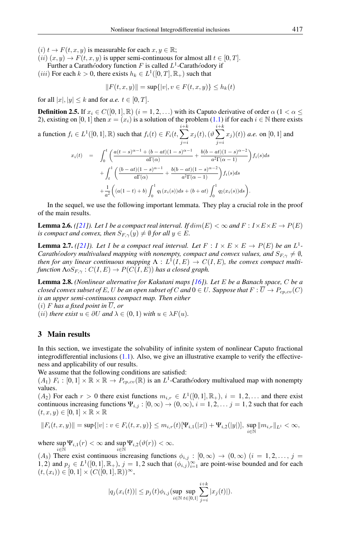(i)  $t \to F(t, x, y)$  is measurable for each  $x, y \in \mathbb{R}$ ;

 $(ii)$   $(x, y) \rightarrow F(t, x, y)$  is upper semi-continuous for almost all  $t \in [0, T]$ . Further a Carathéodory function F is called  $L^1$ -Carathéodory if

(*iii*) For each  $k > 0$ , there exists  $h_k \in L^1([0, T], \mathbb{R}_+)$  such that

$$
||F(t, x, y)|| = \sup\{|v|, v \in F(t, x, y)\} \le h_k(t)
$$

for all  $|x|, |y| \leq k$  and for *a.e.*  $t \in [0, T]$ .

**Definition 2.5.** If  $x_i \in C([0, 1], \mathbb{R})$   $(i = 1, 2, ...)$  with its Caputo derivative of order  $\alpha$   $(1 < \alpha \leq$ 2), existing on [0, 1] then  $x = (x_i)$  is a solution of the problem [\(1.1\)](#page-0-0) if for each  $i \in \mathbb{N}$  there exists

a function 
$$
f_i \in L^1([0, 1], \mathbb{R})
$$
 such that  $f_i(t) \in F_i(t, \sum_{j=i}^{i+k} x_j(t), (\vartheta \sum_{j=i}^{i+k} x_j)(t))$  a.e. on [0, 1] and  
\n
$$
x_i(t) = \int_0^t \left( \frac{a(t-s)^{\alpha-1} + (b-at)(1-s)^{\alpha-1}}{a\Gamma(\alpha)} + \frac{b(b-at)(1-s)^{\alpha-2}}{a^2\Gamma(\alpha-1)} \right) f_i(s) ds + \int_0^1 \left( \frac{(b-at)(1-s)^{\alpha-1}}{a\Gamma(\alpha)} + \frac{b(b-at)(1-s)^{\alpha-2}}{a^2\Gamma(\alpha-1)} \right) f_i(s) ds
$$

$$
J_t \qquad a\Gamma(\alpha) \qquad a^2\Gamma(\alpha-1) \qquad J^{(1)}(x) = 0
$$
  
+ 
$$
\frac{1}{a^2} \left( (a(1-t)+b) \int_0^1 q_1(x_i(s))ds + (b+at) \int_0^1 q_2(x_i(s))ds \right).
$$

In the sequel, we use the following important lemmata. They play a crucial role in the proof of the main results.

<span id="page-3-0"></span>**Lemma 2.6.** *([\[21\]](#page-8-26)).* Let I be a compact real interval. If  $dim(E) < \infty$  and  $F : I \times E \times E \rightarrow P(E)$ *is compact and convex, then*  $S_{F,\gamma}(y) \neq \emptyset$  *for all*  $y \in E$ *.* 

<span id="page-3-2"></span>**Lemma 2.7.** *(*[\[21\]](#page-8-26)). Let I be a compact real interval. Let  $F: I \times E \times E \rightarrow P(E)$  be an  $L^1$ -*Carathéodory multivalued mapping with nonempty, compact and convex values, and*  $S_{F,\gamma} \neq \emptyset$ , then for any linear continuous mapping  $\Lambda: L^1(I, E) \to C(I, E)$ , the convex compact multi*function*  $\Lambda$ <sub>*oS* $_{F,\gamma}$ :  $C(I, E)$   $\to$   $P(C(I, E))$  *has a closed graph.*</sub>

<span id="page-3-1"></span>Lemma 2.8. *(Nonlinear alternative for Kakutani maps [\[16\]](#page-8-27)). Let* E *be a Banach space,* C *be a closed convex subset of* E, U *be an open subset of* C and  $0 \in U$ . Suppose that  $F : \overline{U} \to P_{\text{cv},cv}(C)$ *is an upper semi-continuous compact map. Then either*  $(i)$  *F has a fixed point in*  $\overline{U}$ *, or* 

 $(ii)$  *there exist*  $u ∈ ∂U$  *and*  $\lambda ∈ (0, 1)$  *with*  $u ∈ \lambda F(u)$ *.* 

#### 3 Main results

In this section, we investigate the solvability of infinite system of nonlinear Caputo fractional integrodifferential inclusions [\(1.1\)](#page-0-0). Also, we give an illustrative example to verify the effectiveness and applicability of our results.

We assume that the following conditions are satisfied:

 $(A_1)$   $F_i: [0,1] \times \mathbb{R} \times \mathbb{R} \to P_{cp, cv}(\mathbb{R})$  is an  $L^1$ -Carathéodory multivalued map with nonempty values.

 $(A_2)$  For each  $r > 0$  there exist functions  $m_{i,r} \in L^1([0,1], \mathbb{R}_+), i = 1, 2, \ldots$  and there exist continuous increasing functions  $\Psi_{i,j} : [0, \infty) \to (0, \infty), i = 1, 2, \dots, j = 1, 2$  such that for each  $(t, x, y) \in [0, 1] \times \mathbb{R} \times \mathbb{R}$ 

$$
||F_i(t, x, y)|| = \sup\{|v| : v \in F_i(t, x, y)\} \le m_{i,r}(t)[\Psi_{i,1}(|x|) + \Psi_{i,2}(|y|)], \sup_{i \in \mathbb{N}} ||m_{i,r}||_{L^1} < \infty,
$$

where  $\sup \Psi_{i,1}(r) < \infty$  and  $\sup \Psi_{i,2}(\vartheta(r)) < \infty$ .  $i\in\mathbb{\bar{N}}$  and  $i\in\mathbb{\bar{N}}$ 

 $(A_3)$  There exist continuous increasing functions  $\phi_{i,j} : [0, \infty) \to (0, \infty)$   $(i = 1, 2, \ldots, j =$ 1, 2) and  $p_j \in L^1([0,1], \mathbb{R}_+)$ ,  $j = 1, 2$  such that  $(\phi_{i,j})_{i=1}^{\infty}$  are point-wise bounded and for each  $(t,(x_i)) \in [0,1] \times (C([0,1],\mathbb{R}))^{\infty},$ 

$$
|q_j(x_i(t))| \le p_j(t)\phi_{i,j}(\sup_{i \in \mathbb{N}} \sup_{t \in [0,1]} \sum_{j=i}^{i+k} |x_j(t)|).
$$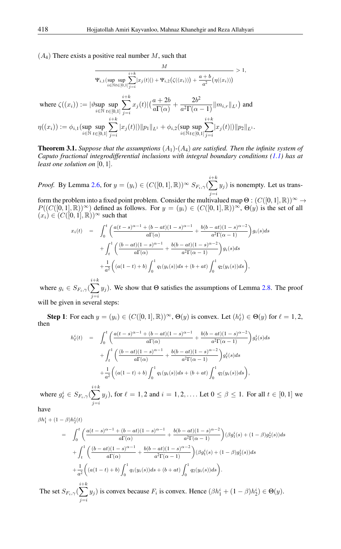#### $(A_4)$  There exists a positive real number M, such that

$$
\frac{M}{\Psi_{i,1}(\sup_{i\in\mathbb{N}}\sup_{t\in[0,1]}\sum_{j=i}^{i+k}|x_j(t)|)+\Psi_{i,2}(\zeta((x_i)))+\frac{a+b}{a^2}(\eta((x_i)))}>1,
$$

where 
$$
\zeta((x_i)) := |\vartheta \sup_{i \in \mathbb{N}} \sup_{t \in [0,1]} \sum_{j=i}^{i+k} x_j(t)| \left( \frac{a+2b}{a\Gamma(\alpha)} + \frac{2b^2}{a^2\Gamma(\alpha-1)} ||m_{i,r}||_{L^1} \right)
$$
 and  
\n
$$
\eta((x_i)) := \phi_{i,1}(\sup_{i \in \mathbb{N}} \sup_{t \in [0,1]} \sum_{j=i}^{i+k} |x_j(t)|) ||p_1||_{L^1} + \phi_{i,2}(\sup_{i \in \mathbb{N}} \sup_{t \in [0,1]} \sum_{j=i}^{i+k} |x_j(t)|) ||p_2||_{L^1}.
$$

<span id="page-4-0"></span>**Theorem 3.1.** *Suppose that the assumptions*  $(A_1)$ - $(A_4)$  *are satisfied. Then the infinite system of Caputo fractional integrodifferential inclusions with integral boundary conditions [\(1.1\)](#page-0-0) has at least one solution on* [0, 1].

*Proof.* By Lemma [2.6,](#page-3-0) for  $y = (y_i) \in (C([0, 1], \mathbb{R}))^{\infty}$   $S_{F_i, \gamma}(\sum)$  $i+k$  $j = i$  $y_j$ ) is nonempty. Let us trans-

form the problem into a fixed point problem. Consider the multivalued map  $\Theta$  :  $(C([0, 1], \mathbb{R}))^{\infty} \to$  $P((C([0,1], \mathbb{R}))^{\infty})$  defined as follows. For  $y = (y_i) \in (C([0,1], \mathbb{R}))^{\infty}$ ,  $\Theta(y)$  is the set of all  $(x_i) \in (C([0,1],\mathbb{R}))^{\infty}$  such that

$$
x_i(t) = \int_0^t \left( \frac{a(t-s)^{\alpha-1} + (b-at)(1-s)^{\alpha-1}}{a\Gamma(\alpha)} + \frac{b(b-at)(1-s)^{\alpha-2}}{a^2\Gamma(\alpha-1)} \right) g_i(s) ds
$$
  
+ 
$$
\int_t^1 \left( \frac{(b-at)(1-s)^{\alpha-1}}{a\Gamma(\alpha)} + \frac{b(b-at)(1-s)^{\alpha-2}}{a^2\Gamma(\alpha-1)} \right) g_i(s) ds
$$
  
+ 
$$
\frac{1}{a^2} \left( (a(1-t)+b) \int_0^1 q_1(y_i(s)) ds + (b+at) \int_0^1 q_2(y_i(s)) ds \right),
$$

where  $g_i \in S_{F_i,\gamma}(\sum)$  $i+k$  $j = i$  $y_j$ ). We show that  $\Theta$  satisfies the assumptions of Lemma [2.8.](#page-3-1) The proof will be given in several steps:

**Step 1**: For each  $y = (y_i) \in (C([0, 1], \mathbb{R}))^{\infty}$ ,  $\Theta(y)$  is convex. Let  $(h_\ell^i) \in \Theta(y)$  for  $\ell = 1, 2$ , then

$$
h_{\ell}^{i}(t) = \int_{0}^{t} \left( \frac{a(t-s)^{\alpha-1} + (b-at)(1-s)^{\alpha-1}}{a\Gamma(\alpha)} + \frac{b(b-at)(1-s)^{\alpha-2}}{a^{2}\Gamma(\alpha-1)} \right) g_{\ell}^{i}(s) ds + \int_{t}^{1} \left( \frac{(b-at)(1-s)^{\alpha-1}}{a\Gamma(\alpha)} + \frac{b(b-at)(1-s)^{\alpha-2}}{a^{2}\Gamma(\alpha-1)} \right) g_{\ell}^{i}(s) ds + \frac{1}{a^{2}} \left( (a(1-t)+b) \int_{0}^{1} q_{1}(y_{i}(s)) ds + (b+at) \int_{0}^{1} q_{2}(y_{i}(s)) ds \right),
$$

where  $g_{\ell}^{i} \in S_{F_{i},\gamma}(\sum)$  $i+k$  $j = i$  $y_j$ ), for  $\ell = 1, 2$  and  $i = 1, 2, \ldots$ . Let  $0 \le \beta \le 1$ . For all  $t \in [0, 1]$  we

have

$$
\beta h_1^i + (1 - \beta) h_2^i(t)
$$
\n
$$
= \int_0^t \left( \frac{a(t - s)^{\alpha - 1} + (b - at)(1 - s)^{\alpha - 1}}{a \Gamma(\alpha)} + \frac{b(b - at)(1 - s)^{\alpha - 2}}{a^2 \Gamma(\alpha - 1)} \right) (\beta g_1^i(s) + (1 - \beta) g_2^i(s)) ds
$$
\n
$$
+ \int_t^1 \left( \frac{(b - at)(1 - s)^{\alpha - 1}}{a \Gamma(\alpha)} + \frac{b(b - at)(1 - s)^{\alpha - 2}}{a^2 \Gamma(\alpha - 1)} \right) (\beta g_1^i(s) + (1 - \beta) g_2^i(s)) ds
$$
\n
$$
+ \frac{1}{a^2} \left( (a(1 - t) + b) \int_0^1 q_1(y_i(s)) ds + (b + at) \int_0^1 q_2(y_i(s)) ds \right).
$$
\n
$$
i + k
$$

The set  $S_{F_i,\gamma}(\sum)$  $j = i$  $y_j$ ) is convex because  $F_i$  is convex. Hence  $(\beta h_1^i + (1 - \beta)h_2^i) \in \Theta(y)$ .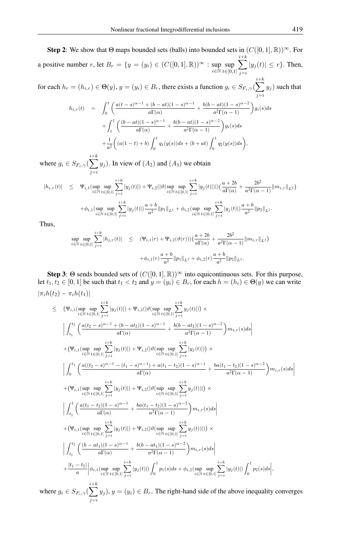**Step 2:** We show that  $\Theta$  maps bounded sets (balls) into bounded sets in  $(C([0, 1], \mathbb{R}))^{\infty}$ . For a positive number r, let  $B_r = \{y = (y_i) \in (C([0, 1], \mathbb{R}))^{\infty} : \sup_{i \in \mathbb{N}} \sup_{t \in [0, 1]}$  $t \in [0,1]$  $\sum$  $i+k$  $j = i$  $|y_j(t)| \leq r$ . Then,  $i+k$ 

for each  $h_r = (h_{i,r}) \in \Theta(y)$ ,  $y = (y_i) \in B_r$ , there exists a function  $g_i \in S_{F_i, \gamma}(\sum$  $j = i$  $y_j$ ) such that

$$
h_{i,r}(t) = \int_0^t \left( \frac{a(t-s)^{\alpha-1} + (b-at)(1-s)^{\alpha-1}}{a\Gamma(\alpha)} + \frac{b(b-at)(1-s)^{\alpha-2}}{a^2\Gamma(\alpha-1)} \right) g_i(s) ds + \int_t^1 \left( \frac{(b-at)(1-s)^{\alpha-1}}{a\Gamma(\alpha)} + \frac{b(b-at)(1-s)^{\alpha-2}}{a^2\Gamma(\alpha-1)} \right) g_i(s) ds + \frac{1}{a^2} \left( (a(1-t)+b) \int_0^1 q_1(y(s)) ds + (b+at) \int_0^1 q_2(y(s)) ds \right),
$$

where  $g_i \in S_{F_i, \gamma}(\sum)$  $i+k$  $j = i$  $y_j$ ). In view of  $(A_2)$  and  $(A_3)$  we obtain

$$
|h_{i,r}(t)| \leq \Psi_{i,1}(\sup_{i \in \mathbb{N}} \sup_{t \in [0,1]} \sum_{j=i}^{i+k} |y_j(t)|) + \Psi_{i,2}(|\vartheta(\sup_{i \in \mathbb{N}} \sup_{t \in [0,1]} \sum_{j=i}^{i+k} |y_j(t)|)) (\frac{a+2b}{a\Gamma(\alpha)} + \frac{2b^2}{a^2\Gamma(\alpha-1)} ||m_{i,r}||_{L^1})
$$
  
+ $\phi_{i,1}(\sup_{i \in \mathbb{N}} \sup_{t \in [0,1]} \sum_{j=i}^{i+k} |y_j(t)|) \frac{a+b}{a^2} ||p_1||_{L^1} + \phi_{i,2}(\sup_{i \in \mathbb{N}} \sup_{t \in [0,1]} \sum_{j=i}^{i+k} |y_j(t)|) \frac{a+b}{a^2} ||p_2||_{L^1}.$ 

Thus,

$$
\sup_{i \in \mathbb{N}} \sup_{t \in [0,1]} \sum_{j=i}^{i+k} |h_{j,r}(t)| \leq (\Psi_{i,1}(r) + \Psi_{i,2}(\vartheta(r))) \left( \frac{a+2b}{a\Gamma(\alpha)} + \frac{2b^2}{a^2\Gamma(\alpha-1)} ||m_{i,r}||_{L^1} \right) + \phi_{i,1}(r) \frac{a+b}{a^2} ||p_1||_{L^1} + \phi_{i,2}(r) \frac{a+b}{a^2} ||p_2||_{L^1}.
$$

**Step 3:** Θ sends bounded sets of  $(C([0, 1], \mathbb{R}))^{\infty}$  into equicontinuous sets. For this purpose, let  $t_1, t_2 \in [0, 1]$  be such that  $t_1 < t_2$  and  $y = (y_i) \in B_r$ , for each  $h = (h_i) \in \Theta(y)$  we can write  $|\pi_i h(t_2) - \pi_i h(t_1)|$ 

$$
\leq \quad (\Psi_{i,1}(\sup_{i\in\mathbb{N}}\sup_{t\in[0,1]}\sum_{j=i}^{i+k}|y_{j}(t)|)+\Psi_{i,2}(|\vartheta(\sup_{i\in\mathbb{N}}\sup_{t\in[0,1]}\sum_{j=i}^{i+k}|y_{j}(t)|)) \times \n\left|\int_{t_{1}}^{t_{2}}\left(\frac{a(t_{2}-s)^{\alpha-1}+(b-at_{2})(1-s)^{\alpha-1}}{a\Gamma(\alpha)}+\frac{b(b-at_{2})(1-s)^{\alpha-2}}{a^{2}\Gamma(\alpha-1)}\right)m_{i,r}(s)ds\right| \n+ (\Psi_{i,1}(\sup_{i\in\mathbb{N}}\sup_{t\in[0,1]}\sum_{j=i}^{i+k}|y_{j}(t)|)+\Psi_{i,2}(|\vartheta(\sup_{i\in\mathbb{N}}\sup_{t\in[0,1]}\sum_{j=i}^{i+k}|y_{j}(t)|)) \times \n\left|\int_{0}^{t_{1}}\left(\frac{a((t_{2}-s)^{\alpha-1}-(t_{1}-s)^{\alpha-1})+a(t_{1}-t_{2})(1-s)^{\alpha-1}}{a\Gamma(\alpha)}+\frac{ba(t_{1}-t_{2})(1-s)^{\alpha-2}}{a^{2}\Gamma(\alpha-1)}\right)m_{i,r}(s)ds\right| \n+ (\Psi_{i,1}(\sup_{i\in\mathbb{N}}\sup_{t\in[0,1]}\sum_{j=i}^{i+k}|y_{j}(t)|)+\Psi_{i,2}(|\vartheta(\sup_{i\in\mathbb{N}}\sup_{t\in[0,1]}\sum_{j=i}^{i+k}|y_{j}(t)|)) \times \n\left|\int_{t_{2}}^{1}\left(\frac{a(t_{1}-t_{2})(1-s)^{\alpha-1}}{a\Gamma(\alpha)}+\frac{ba(t_{1}-t_{2})(1-s)^{\alpha-2}}{a^{2}\Gamma(\alpha-1)}\right)m_{i,r}(s)ds\right| \n+ (\Psi_{i,1}(\sup_{i\in\mathbb{N}}\sup_{t\in[0,1]}\sum_{j=i}^{i+k}|y_{j}(t)|)+\Psi_{i,2}(|\vartheta(\sup_{i\in\mathbb{N}}\sup_{t\in[0,1]}\sum_{j=i}^{i+k}|y_{j}(t)|)) ) \times \n\left|\int_{t_{1}}^{t_{2}}\left(\frac{(b-at_{1})(1-s)^{\alpha-1}}{a\
$$

where  $g_i \in S_{F_i,\gamma}(\sum)$  $j = i$  $y_j$ ,  $y = (y_i) \in B_r$ . The right-hand side of the above inequality converges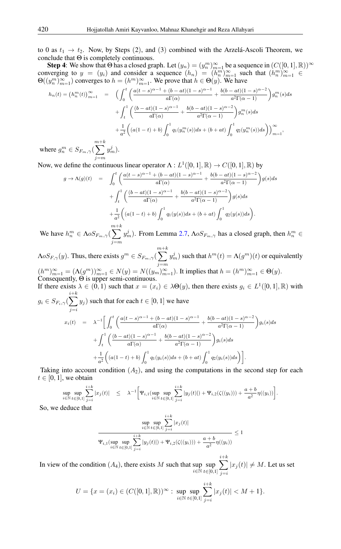to 0 as  $t_1 \rightarrow t_2$ . Now, by Steps (2), and (3) combined with the Arzelá-Ascoli Theorem, we conclude that Θ is completely continuous.

**Step 4:** We show that  $\Theta$  has a closed graph. Let  $(y_n) = (y_n^m)_{m=1}^{\infty}$  be a sequence in  $(C([0, 1], \mathbb{R}))^{\infty}$ converging to  $y = (y_i)$  and consider a sequence  $(h_n) = (h_n^m)_{m=1}^{\infty}$  such that  $(h_n^m)_{m=1}^{\infty} \in$  $\Theta((y_n^m)_{m=1}^{\infty})$  converges to  $h = (h^m)_{m=1}^{\infty}$ . We prove that  $h \in \Theta(y)$ . We have

$$
h_n(t) = (h_n^m(t))_{m=1}^{\infty} = \left( \int_0^t \left( \frac{a(t-s)^{\alpha-1} + (b-at)(1-s)^{\alpha-1}}{a\Gamma(\alpha)} + \frac{b(b-at)(1-s)^{\alpha-2}}{a^2\Gamma(\alpha-1)} \right) g_n^m(s) ds + \int_t^1 \left( \frac{(b-at)(1-s)^{\alpha-1}}{a\Gamma(\alpha)} + \frac{b(b-at)(1-s)^{\alpha-2}}{a^2\Gamma(\alpha-1)} \right) g_n^m(s) ds + \frac{1}{a^2} \left( (a(1-t)+b) \int_0^1 q_1(y_n^m(s)) ds + (b+at) \int_0^1 q_2(y_n^m(s)) ds \right) \Big)_{m=1}^{\infty},
$$
  

$$
m+k
$$

where  $g_n^m \in S_{F_m,\gamma}$  (  $\sum^{m+k}$ j=m  $y_m^j$ ).

Now, we define the continuous linear operator  $\Lambda : L^1([0,1], \mathbb{R}) \to C([0,1], \mathbb{R})$  by

$$
g \to \Lambda(g)(t) = \int_0^t \left( \frac{a(t-s)^{\alpha-1} + (b-at)(1-s)^{\alpha-1}}{a\Gamma(\alpha)} + \frac{b(b-at)(1-s)^{\alpha-2}}{a^2\Gamma(\alpha-1)} \right) g(s) ds
$$
  
+ 
$$
\int_t^1 \left( \frac{(b-at)(1-s)^{\alpha-1}}{a\Gamma(\alpha)} + \frac{b(b-at)(1-s)^{\alpha-2}}{a^2\Gamma(\alpha-1)} \right) g(s) ds
$$
  
+ 
$$
\frac{1}{a^2} \left( (a(1-t)+b) \int_0^1 q_1(y(s)) ds + (b+at) \int_0^1 q_2(y(s)) ds \right).
$$
  
m+k

We have  $h_n^m \in \Lambda \omega S_{F_m,\gamma}$  (  $\sum^{m+k}$ j=m  $y_m^j$ ). From Lemma [2.7,](#page-3-2)  $\Lambda oS_{F_m,\gamma}$  has a closed graph, then  $h_n^m \in$ 

 $\Lambda$ o $S_{F,\gamma}(y)$ . Thus, there exists  $g^m \in S_{F_m,\gamma}(x)$  $\sum^{m+k}$  $+k$  $j = m$  $y_m^j$ ) such that  $h^m(t) = \Lambda(g^m)(t)$  or equivalently  $(h^m)_{m=1}^{\infty} = (\Lambda(g^m))_{m=1}^{\infty} \in N(y) = N((y_m)_{m=1}^{\infty})$ . It implies that  $h = (h^m)_{m=1}^{\infty} \in \Theta(y)$ . Consequently, Θ is upper semi-continuous.

If there exists  $\lambda \in (0,1)$  such that  $x = (x_i) \in \lambda \Theta(y)$ , then there exists  $g_i \in L^1([0,1], \mathbb{R})$  with  $i+k$ 

$$
g_i \in S_{F_i, \gamma}(\sum_{j=i} y_j) \text{ such that for each } t \in [0, 1] \text{ we have}
$$
  

$$
x_i(t) = \lambda^{-1} \Big[ \int_0^t \left( \frac{a(t-s)^{\alpha-1} + (b-at)(1-s)^{\alpha-1}}{a\Gamma(\alpha)} + \frac{b(b-at)(1-s)^{\alpha-2}}{a^2\Gamma(\alpha-1)} \right) g_i(s) ds + \int_t^1 \left( \frac{(b-at)(1-s)^{\alpha-1}}{a\Gamma(\alpha)} + \frac{b(b-at)(1-s)^{\alpha-2}}{a^2\Gamma(\alpha-1)} \right) g_i(s) ds + \frac{1}{a^2} \left( (a(1-t)+b) \int_0^1 q_1(y_i(s)) ds + (b+at) \int_0^1 q_2(y_i(s)) ds \right) \Big].
$$

Taking into account condition  $(A_2)$ , and using the computations in the second step for each  $t \in [0, 1]$ , we obtain

$$
\sup_{i\in\mathbb{N}}\sup_{t\in[0,1]}\sum_{j=i}^{i+k}|x_j(t)|\quad \leq\quad \lambda^{-1}\bigg[\Psi_{i,1}(\sup_{i\in\mathbb{N}}\sup_{t\in[0,1]}\sum_{j=i}^{i+k}|y_j(t)|)+\Psi_{i,2}(\zeta((y_i)))+\frac{a+b}{a^2}\eta((y_i))\bigg].
$$

So, we deduce that

$$
\frac{\displaystyle\sup_{i\in\mathbb{N}}\sup_{t\in[0,1]}\sum_{j=i}^{i+k}|x_j(t)|}{\displaystyle\Psi_{i,1}(\displaystyle\sup_{i\in\mathbb{N}}\sup_{t\in[0,1]}\sum_{j=i}^{i+k}|y_j(t)|)+\Psi_{i,2}(\zeta((y_i)))+\frac{a+b}{a^2}\eta((y_i))}\leq 1
$$

In view of the condition  $(A_4)$ , there exists M such that sup sup  $\iota \in \mathbb{N}$   $\iota \in [0, 1]$  $t \in [0,1]$  $\sum$  $i+k$  $j = i$  $|x_j(t)| \neq M$ . Let us set

$$
U = \{x = (x_i) \in (C([0,1], \mathbb{R}))^{\infty} : \sup_{i \in \mathbb{N}} \sup_{t \in [0,1]} \sum_{j=i}^{i+k} |x_j(t)| < M+1\}.
$$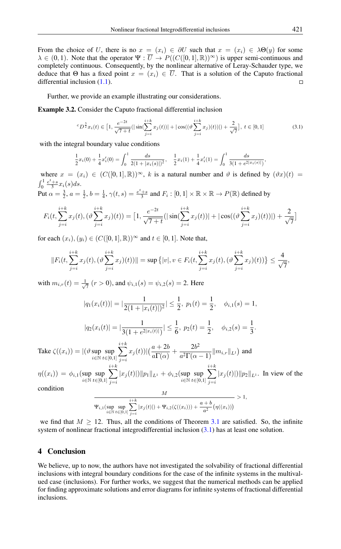From the choice of U, there is no  $x = (x_i) \in \partial U$  such that  $x = (x_i) \in \partial \Theta(y)$  for some  $\lambda \in (0,1)$ . Note that the operator  $\Psi : \overline{U} \to P((C([0,1], \mathbb{R}))^{\infty})$  is upper semi-continuous and completely continuous. Consequently, by the nonlinear alternative of Leray-Schauder type, we deduce that Θ has a fixed point  $x = (x_i) \in \overline{U}$ . That is a solution of the Caputo fractional differential inclusion [\(1.1\)](#page-0-0).

Further, we provide an example illustrating our considerations.

Example 3.2. Consider the Caputo fractional differential inclusion

<span id="page-7-0"></span>
$$
{}^{c}D^{\frac{3}{2}}x_{i}(t) \in [1, \frac{e^{-2t}}{\sqrt{7+t}}(|\sin(\sum_{j=i}^{i+k} x_{j}(t))| + |\cos((\vartheta \sum_{j=i}^{i+k} x_{j})(t))|) + \frac{2}{\sqrt{7}}], t \in [0, 1]
$$
\n(3.1)

with the integral boundary value conditions

$$
\frac{1}{2}x_i(0) + \frac{1}{4}x'_i(0) = \int_0^1 \frac{ds}{2(1+|x_i(s)|)^2}, \quad \frac{1}{2}x_i(1) + \frac{1}{4}x'_i(1) = \int_0^1 \frac{ds}{3(1+e^{2|x_i(s)|})},
$$

where  $x = (x_i) \in (C([0, 1], \mathbb{R}))^{\infty}$ , k is a natural number and  $\vartheta$  is defined by  $(\vartheta x)(t) =$  $\int_0^1 \frac{e^t + s}{3} x_i(s) ds.$ Put  $\alpha = \frac{3}{2}$ ,  $a = \frac{1}{2}$ ,  $b = \frac{1}{4}$ ,  $\gamma(t, s) = \frac{e^t + s}{3}$  and  $F_i : [0, 1] \times \mathbb{R} \times \mathbb{R} \to P(\mathbb{R})$  defined by

$$
F_i(t, \sum_{j=i}^{i+k} x_j(t), (\vartheta \sum_{j=i}^{i+k} x_j)(t)) = [1, \frac{e^{-2t}}{\sqrt{7+t}} (|\sin(\sum_{j=i}^{i+k} x_j(t))| + |\cos((\vartheta \sum_{j=i}^{i+k} x_j)(t))|) + \frac{2}{\sqrt{7}}]
$$

for each  $(x_i), (y_i) \in (C([0, 1], \mathbb{R}))^{\infty}$  and  $t \in [0, 1]$ . Note that,

$$
||F_i(t, \sum_{j=i}^{i+k} x_j(t), (\vartheta \sum_{j=i}^{i+k} x_j)(t))|| = \sup \{|v|, v \in F_i(t, \sum_{j=i}^{i+k} x_j(t), (\vartheta \sum_{j=i}^{i+k} x_j)(t))\} \le \frac{4}{\sqrt{7}},
$$

with  $m_{i,r}(t) = \frac{1}{\sqrt{2}}$  $\frac{1}{7}$   $(r > 0)$ , and  $\psi_{i,1}(s) = \psi_{i,2}(s) = 2$ . Here

$$
|q_1(x_i(t))| = |\frac{1}{2(1+|x_i(t)|)^2}| \le \frac{1}{2}, \ p_1(t) = \frac{1}{2}, \quad \phi_{i,1}(s) = 1,
$$
  

$$
|q_2(x_i(t))| = |\frac{1}{3(1+e^{2|x_i(t)|})}| \le \frac{1}{6}, \ p_2(t) = \frac{1}{2}, \quad \phi_{i,2}(s) = \frac{1}{3}.
$$

Take  $\zeta((x_i)) = |(\vartheta \sup_{i \in \mathbb{N}} \sup_{t \in [0,1]}$  $t \in [0,1]$  $\sum$  $i+k$  $j = i$  $x_j(t))\left|\left(\frac{a+2b}{a\Gamma(x)}\right)\right|$  $\frac{a+2b}{a\Gamma(\alpha)}+\frac{2b^2}{a^2\Gamma(\alpha)}$  $\frac{20}{a^2 \Gamma(\alpha-1)}$   $\|m_{i,r}\|_{L^1}$ ) and  $i+k$  $i+k$ 

 $\eta((x_i)) = \phi_{i,1}(\sup_{i \in \mathbb{N}} \sup_{t \in [0,1]}$  $t \in [0,1]$  $\sum$  $j = i$  $||x_j(t)|| ||p_1||_{L^1} + \phi_{i,2}(\sup_{i \in \mathbb{N}} \sup_{t \in [0,1]}$  $t \in [0,1]$  $\sum$  $j = i$  $||x_j(t)|| ||p_2||_{L^1}$ . In view of the

condition

$$
\frac{M}{\Psi_{i,1}(\sup_{i\in\mathbb{N}}\sup_{t\in[0,1]}\sum_{j=i}^{i+k}|x_j(t)|)+\Psi_{i,2}(\zeta((x_i)))+\frac{a+b}{a^2}(\eta((x_i)))}>1,
$$

we find that  $M \geq 12$ . Thus, all the conditions of Theorem [3.1](#page-4-0) are satisfied. So, the infinite system of nonlinear fractional integrodifferential inclusion [\(3.1\)](#page-7-0) has at least one solution.

# 4 Conclusion

We believe, up to now, the authors have not investigated the solvability of fractional differential inclusions with integral boundary conditions for the case of the infinite systems in the multivalued case (inclusions). For further works, we suggest that the numerical methods can be applied for finding approximate solutions and error diagrams for infinite systems of fractional differential inclusions.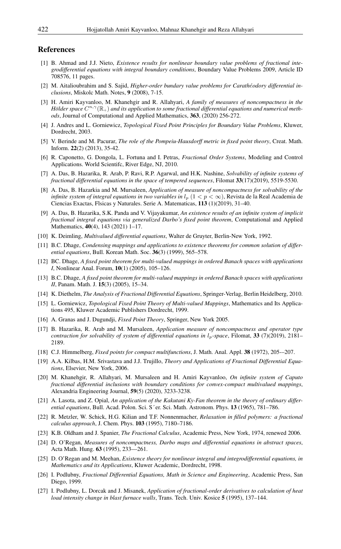## <span id="page-8-0"></span>References

- <span id="page-8-23"></span>[1] B. Ahmad and J.J. Nieto, *Existence results for nonlinear boundary value problems of fractional integrodifferential equations with integral boundary conditions*, Boundary Value Problems 2009, Article ID 708576, 11 pages.
- <span id="page-8-25"></span>[2] M. Aitalioubrahim and S. Sajid, *Higher-order bundary value problems for Carathéodory differential inclusions*, Miskolc Math. Notes, 9 (2008), 7-15.
- <span id="page-8-6"></span>[3] H. Amiri Kayvanloo, M. Khanehgir and R. Allahyari, *A family of measures of noncompactness in the* Hölder space  $C^{n,\gamma}(\mathbb{R}_+)$  and its application to some fractional differential equations and numerical meth*ods*, Journal of Computational and Applied Mathematics, 363, (2020) 256-272.
- <span id="page-8-10"></span>[4] J. Andres and L. Gorniewicz, *Topological Fixed Point Principles for Boundary Value Problems*, Kluwer, Dordrecht, 2003.
- <span id="page-8-24"></span>[5] V. Berinde and M. Pacurar, *The role of the Pompeiu-Hausdorff metric in fixed point theory*, Creat. Math. Inform. 22(2) (2013), 35-42.
- <span id="page-8-3"></span>[6] R. Caponetto, G. Dongola, L. Fortuna and I. Petras, *Fractional Order Systems*, Modeling and Control Applications. World Scientifc, River Edge, NJ, 2010.
- <span id="page-8-16"></span>[7] A. Das, B. Hazarika, R. Arab, P. Ravi, R.P. Agarwal, and H.K. Nashine, *Solvability of infinite systems of fractional differential equations in the space of tempered sequences*, Filomat 33(17)(2019), 5519-5530.
- <span id="page-8-17"></span>[8] A. Das, B. Hazarkia and M. Mursaleen, *Application of measure of noncompactness for solvability of the infinite system of integral equations in two variables in*  $l_p$   $(1 < p < \infty)$ , Revista de la Real Academia de Ciencias Exactas, Flsicas y Naturales. Serie A. Matematicas, 113 (1)(2019), 31–40.
- <span id="page-8-18"></span>[9] A. Das, B. Hazarika, S.K. Panda and V. Vijayakumar, *An existence results of an infinite system of implicit fractional integral equations via generalized Darbo's fixed point theorem*, Computational and Applied Mathematics, 40(4), 143 (2021) 1–17.
- <span id="page-8-22"></span>[10] K. Deimling, *Multivalued differential equations*, Walter de Gruyter, Berlin-New York, 1992.
- <span id="page-8-12"></span>[11] B.C. Dhage, *Condensing mappings and applications to existence theorems for common solution of differential equations*, Bull. Korean Math. Soc. 36(3) (1999), 565–578.
- <span id="page-8-13"></span>[12] BC. Dhage, *A fixed point theorem for multi-valued mappings in ordered Banach spaces with applications I*, Nonlinear Anal. Forum, 10(1) (2005), 105–126.
- <span id="page-8-14"></span>[13] B.C. Dhage, *A fixed point theorem for multi-valued mappings in ordered Banach spaces with applications II*, Panam. Math. J. 15(3) (2005), 15–34.
- <span id="page-8-1"></span>[14] K. Diethelm, *The Analysis of Fractional Differential Equations*, Springer-Verlag, Berlin Heidelberg, 2010.
- <span id="page-8-11"></span>[15] L. Gorniewicz, *Topological Fixed Point Theory of Multi-valued Mappings*, Mathematics and Its Applications 495, Kluwer Academic Publishers Dordrecht, 1999.
- <span id="page-8-27"></span>[16] A. Granas and J. Dugundji, *Fixed Point Theory*, Springer, New York 2005.
- <span id="page-8-19"></span>[17] B. Hazarika, R. Arab and M. Mursaleen, *Application measure of noncompactness and operator type contraction for solvability of system of differential equations in*  $l_p$ -space, Filomat, 33 (7)(2019), 2181– 2189.
- <span id="page-8-9"></span>[18] C.J. Himmelberg, *Fixed points for compact multifunctions*, J. Math. Anal. Appl. 38 (1972), 205-–207.
- <span id="page-8-2"></span>[19] A.A. Kilbas, H.M. Srivastava and J.J. Trujillo, *Theory and Applications of Fractional Differential Equations*, Elsevier, New York, 2006.
- <span id="page-8-15"></span>[20] M. Khanehgir, R. Allahyari, M. Mursaleen and H. Amiri Kayvanloo, *On infinite system of Caputo fractional differential inclusions with boundary conditions for convex-compact multivalued mappings*, Alexandria Engineering Journal, 59(5) (2020), 3233-3238.
- <span id="page-8-26"></span>[21] A. Lasota, and Z. Opial, *An application of the Kakutani Ky-Fan theorem in the theory of ordinary differ-*Alexandria Engineering Journal, 59(5) (2020), 3233-3238.<br>*A. Lasota, and Z. Opial, An application of the Kakutani Ky-Fan theorem in the theory of ordinantial equations, Bull. Acad. Polon. Sci. S´er. Sci. Math. Astronom. Ph*
- <span id="page-8-4"></span>[22] R. Metzler, W. Schick, H.G. Kilian and T.F. Nonnenmacher, *Relaxation in filled polymers: a fractional calculus approach*, J. Chem. Phys. 103 (1995), 7180–7186.
- <span id="page-8-7"></span>[23] K.B. Oldham and J. Spanier, *The Fractional Calculus*, Academic Press, New York, 1974, renewed 2006.
- <span id="page-8-20"></span>[24] D. O'Regan, *Measures of noncompactness, Darbo maps and differential equations in abstract spaces*, Acta Math. Hung. 63 (1995), 233—261.
- <span id="page-8-21"></span>[25] D. O'Regan and M. Meehan, *Existence theory for nonlinear integral and integrodifferential equations, in Mathematics and its Applications*, Kluwer Academic, Dordrecht, 1998.
- <span id="page-8-8"></span>[26] I. Podlubny, *Fractional Differential Equations, Math in Science and Engineering*, Academic Press, San Diego, 1999.
- <span id="page-8-5"></span>[27] I. Podlubny, L. Dorcak and J. Misanek, *Application of fractional-order derivatives to calculation of heat load intensity change in blast furnace walls*, Trans. Tech. Univ. Kosice 5 (1995), 137–144.